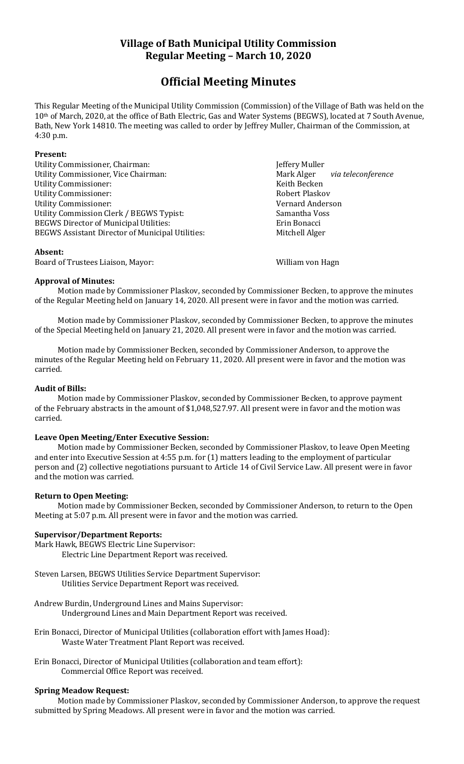# **Village of Bath Municipal Utility Commission Regular Meeting – March 10, 2020**

# **Official Meeting Minutes**

This Regular Meeting of the Municipal Utility Commission (Commission) of the Village of Bath was held on the 10th of March, 2020, at the office of Bath Electric, Gas and Water Systems (BEGWS), located at 7 South Avenue, Bath, New York 14810. The meeting was called to order by Jeffrey Muller, Chairman of the Commission, at 4:30 p.m.

# **Present:**

Utility Commissioner, Chairman: **Market Elected State State State State State State State State State State State State State State State State State State State State State State State State State State State State State** Utility Commissioner, Vice Chairman: Mark Alger *via teleconference* Utility Commissioner: Keith Becken Utility Commissioner: The Commissioner of the Commissioner of the Robert Plaskov Utility Commissioner: Vernard Anderson Utility Commission Clerk / BEGWS Typist: Samantha Voss BEGWS Director of Municipal Utilities: Erin Bonacci BEGWS Assistant Director of Municipal Utilities: Mitchell Alger

# **Absent:**

Board of Trustees Liaison, Mayor: William von Hagn

# **Approval of Minutes:**

Motion made by Commissioner Plaskov, seconded by Commissioner Becken, to approve the minutes of the Regular Meeting held on January 14, 2020. All present were in favor and the motion was carried.

Motion made by Commissioner Plaskov, seconded by Commissioner Becken, to approve the minutes of the Special Meeting held on January 21, 2020. All present were in favor and the motion was carried.

Motion made by Commissioner Becken, seconded by Commissioner Anderson, to approve the minutes of the Regular Meeting held on February 11, 2020. All present were in favor and the motion was carried.

# **Audit of Bills:**

Motion made by Commissioner Plaskov, seconded by Commissioner Becken, to approve payment of the February abstracts in the amount of \$1,048,527.97. All present were in favor and the motion was carried.

# **Leave Open Meeting/Enter Executive Session:**

Motion made by Commissioner Becken, seconded by Commissioner Plaskov, to leave Open Meeting and enter into Executive Session at 4:55 p.m. for (1) matters leading to the employment of particular person and (2) collective negotiations pursuant to Article 14 of Civil Service Law. All present were in favor and the motion was carried.

# **Return to Open Meeting:**

Motion made by Commissioner Becken, seconded by Commissioner Anderson, to return to the Open Meeting at 5:07 p.m. All present were in favor and the motion was carried.

# **Supervisor/Department Reports:**

Mark Hawk, BEGWS Electric Line Supervisor:

Electric Line Department Report was received.

Steven Larsen, BEGWS Utilities Service Department Supervisor: Utilities Service Department Report was received.

- Andrew Burdin, Underground Lines and Mains Supervisor: Underground Lines and Main Department Report was received.
- Erin Bonacci, Director of Municipal Utilities (collaboration effort with James Hoad): Waste Water Treatment Plant Report was received.
- Erin Bonacci, Director of Municipal Utilities (collaboration and team effort): Commercial Office Report was received.

# **Spring Meadow Request:**

Motion made by Commissioner Plaskov, seconded by Commissioner Anderson, to approve the request submitted by Spring Meadows. All present were in favor and the motion was carried.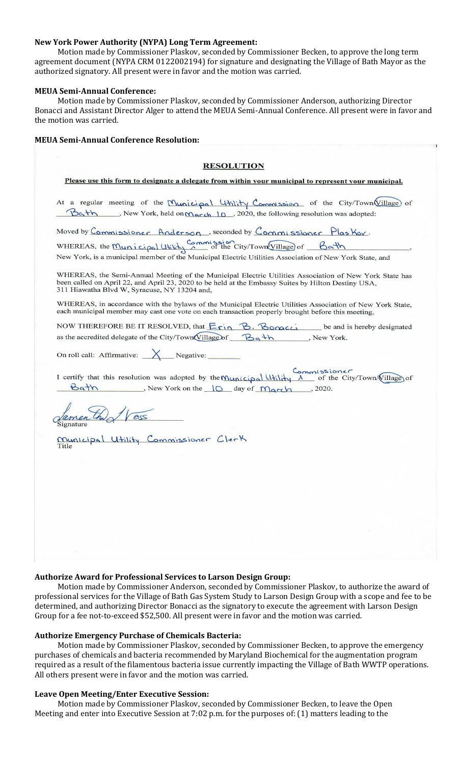#### **New York Power Authority (NYPA) Long Term Agreement:**

Motion made by Commissioner Plaskov, seconded by Commissioner Becken, to approve the long term agreement document (NYPA CRM 0122002194) for signature and designating the Village of Bath Mayor as the authorized signatory. All present were in favor and the motion was carried.

#### **MEUA Semi-Annual Conference:**

Motion made by Commissioner Plaskov, seconded by Commissioner Anderson, authorizing Director Bonacci and Assistant Director Alger to attend the MEUA Semi-Annual Conference. All present were in favor and the motion was carried.

| <b>RESOLUTION</b>                                                                                                                                                                                                                                             |
|---------------------------------------------------------------------------------------------------------------------------------------------------------------------------------------------------------------------------------------------------------------|
| Please use this form to designate a delegate from within your municipal to represent your municipal.                                                                                                                                                          |
| At a regular meeting of the Municipal Utility Commission of the City/Town Village of<br>Bath Rew York, held on March 10, 2020, the following resolution was adopted:                                                                                          |
| Moved by Commissioner Anderson, seconded by Commissioner Plas Kov.                                                                                                                                                                                            |
| WHEREAS, the <u>Municipal Utility Commission</u> of the City/Town Village of Bath<br>New York, is a municipal member of the Municipal Electric Utilities Association of New York State, and                                                                   |
| WHEREAS, the Semi-Annual Meeting of the Municipal Electric Utilities Association of New York State has<br>been called on April 22, and April 23, 2020 to be held at the Embassy Suites by Hilton Destiny USA,<br>311 Hiawatha Blvd W, Syracuse, NY 13204 and, |
| WHEREAS, in accordance with the bylaws of the Municipal Electric Utilities Association of New York State,<br>each municipal member may cast one vote on each transaction properly brought before this meeting,                                                |
| NOW THEREFORE BE IT RESOLVED, that Erin B. Bonacci<br>be and is hereby designated<br>as the accredited delegate of the City/Town(Village of $B_9 + h$ , New York.                                                                                             |
| On roll call: Affirmative: $X$ Negative:                                                                                                                                                                                                                      |
| I certify that this resolution was adopted by the Municipal Utility $\Lambda$ of the City/Town/(illage) of<br>Bath Rew York on the 10 day of March, 2020.                                                                                                     |
|                                                                                                                                                                                                                                                               |
| <u>Municipal Utility</u> Commissioner Clerk<br>Title                                                                                                                                                                                                          |
|                                                                                                                                                                                                                                                               |
|                                                                                                                                                                                                                                                               |
|                                                                                                                                                                                                                                                               |
|                                                                                                                                                                                                                                                               |
|                                                                                                                                                                                                                                                               |
|                                                                                                                                                                                                                                                               |

#### **Authorize Award for Professional Services to Larson Design Group:**

Motion made by Commissioner Anderson, seconded by Commissioner Plaskov, to authorize the award of professional services for the Village of Bath Gas System Study to Larson Design Group with a scope and fee to be determined, and authorizing Director Bonacci as the signatory to execute the agreement with Larson Design Group for a fee not-to-exceed \$52,500. All present were in favor and the motion was carried.

# **Authorize Emergency Purchase of Chemicals Bacteria:**

Motion made by Commissioner Plaskov, seconded by Commissioner Becken, to approve the emergency purchases of chemicals and bacteria recommended by Maryland Biochemical for the augmentation program required as a result of the filamentous bacteria issue currently impacting the Village of Bath WWTP operations. All others present were in favor and the motion was carried.

# **Leave Open Meeting/Enter Executive Session:**

Motion made by Commissioner Plaskov, seconded by Commissioner Becken, to leave the Open Meeting and enter into Executive Session at 7:02 p.m. for the purposes of: (1) matters leading to the